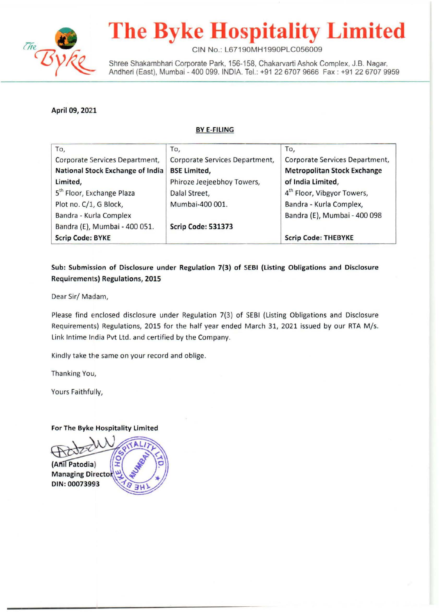

# **The Byke Hospitality Limited**

CIN No.: L67190MH1990PLC056009

Shree Shakambhari Corporate Park, 156-158, Chakarvarti Ashok Complex, J.B. Nagar, Andheri (East), Mumbai - 400 099. INDIA. Tel.: +91 22 6707 9666 Fax : +91 22 6707 9959

April 09, 2021

#### BYE-FILING

| To,                                   | To,                            | To,                                    |
|---------------------------------------|--------------------------------|----------------------------------------|
| Corporate Services Department,        | Corporate Services Department, | Corporate Services Department,         |
| National Stock Exchange of India      | <b>BSE Limited,</b>            | <b>Metropolitan Stock Exchange</b>     |
| Limited,                              | Phiroze Jeejeebhoy Towers,     | of India Limited,                      |
| 5 <sup>th</sup> Floor, Exchange Plaza | Dalal Street,                  | 4 <sup>th</sup> Floor, Vibgyor Towers, |
| Plot no. C/1, G Block,                | Mumbai-400 001.                | Bandra - Kurla Complex,                |
| Bandra - Kurla Complex                |                                | Bandra (E), Mumbai - 400 098           |
| Bandra (E), Mumbai - 400 051.         | Scrip Code: 531373             |                                        |
| <b>Scrip Code: BYKE</b>               |                                | <b>Scrip Code: THEBYKE</b>             |

#### Sub: Submission of Disclosure under Regulation 7(3) of SEBI (listing Obligations and Disclosure Requirements) Regulations, 2015

Dear Sir/ Madam,

Please find enclosed disclosure under Regulation 7(3) of SEBI (Listing Obligations and Disclosure Requirements) Regulations, 2015 for the half year ended March 31, 2021 issued by our RTA M/s. Link lntime India Pvt Ltd. and certified by the Company.

Kindly take the same on your record and oblige.

Thanking You,

Yours Faithfully,

#### For The Byke Hospitality Limited

(Anil Patodia) **Managing Director** DIN: 00073993